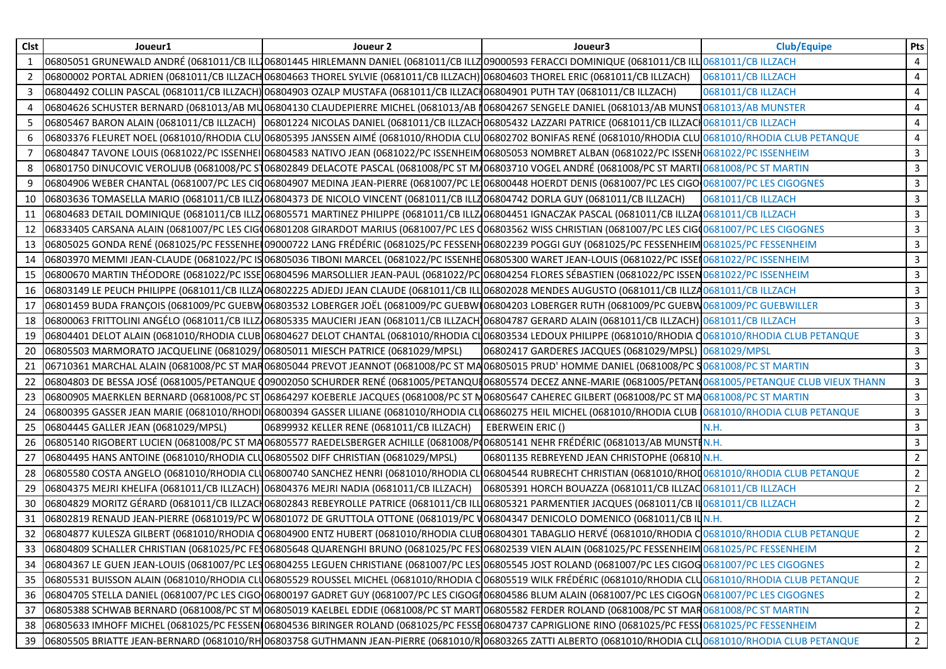| <b>Clst</b> | Joueur1                                                                               | Joueur 2                                                                                                                                                                        | Joueur3                                                      | <b>Club/Equipe</b> | Pts            |
|-------------|---------------------------------------------------------------------------------------|---------------------------------------------------------------------------------------------------------------------------------------------------------------------------------|--------------------------------------------------------------|--------------------|----------------|
| 1           |                                                                                       | 06805051 GRUNEWALD ANDRÉ (0681011/CB ILL106801445 HIRLEMANN DANIEL (0681011/CB ILLZ09000593 FERACCI DOMINIQUE (0681011/CB ILL10681011/CB ILLZACH                                |                                                              |                    | 4              |
| 2           |                                                                                       | 06800002 PORTAL ADRIEN (0681011/CB ILLZACH 06804663 THOREL SYLVIE (0681011/CB ILLZACH) 06804603 THOREL ERIC (0681011/CB ILLZACH)                                                |                                                              | 0681011/CB ILLZACH | 4              |
| 3           |                                                                                       | 06804492 COLLIN PASCAL (0681011/CB ILLZACH) 06804903 OZALP MUSTAFA (0681011/CB ILLZACH06804901 PUTH TAY (0681011/CB ILLZACH)                                                    |                                                              | 0681011/CB ILLZACH | 4              |
|             |                                                                                       | 06804626 SCHUSTER BERNARD (0681013/AB MU06804130 CLAUDEPIERRE MICHEL (0681013/AB N06804267 SENGELE DANIEL (0681013/AB MUNST0681013/AB MUNSTER                                   |                                                              |                    | $\overline{4}$ |
| 5           |                                                                                       | 06805467 BARON ALAIN (0681011/CB ILLZACH) 106801224 NICOLAS DANIEL (0681011/CB ILLZACH06805432 LAZZARI PATRICE (0681011/CB ILLZACH0681011/CB ILLZACH                            |                                                              |                    | $\overline{4}$ |
| 6           |                                                                                       | 06803376 FLEURET NOEL (0681010/RHODIA CLU 06805395 JANSSEN AIMÉ (0681010/RHODIA CLU 06802702 BONIFAS RENÉ (0681010/RHODIA CLU 0681010/RHODIA CLUB PETANQUE                      |                                                              |                    | 4              |
|             |                                                                                       | 06804847 TAVONE LOUIS (0681022/PC ISSENHEI 06804583 NATIVO JEAN (0681022/PC ISSENHEIM06805053 NOMBRET ALBAN (0681022/PC ISSENH0681022/PC ISSENHEIM                              |                                                              |                    | $\mathbf{3}$   |
| 8           |                                                                                       | 06801750 DINUCOVIC VEROLJUB (0681008/PC S106802849 DELACOTE PASCAL (0681008/PC ST M/06803710 VOGEL ANDRÉ (0681008/PC ST MARTI 0681008/PC ST MARTIN                              |                                                              |                    | $\mathbf{3}$   |
| 9           |                                                                                       | 06804906 WEBER CHANTAL (0681007/PC LES CIQ06804907 MEDINA JEAN-PIERRE (0681007/PC LE 06800448 HOERDT DENIS (0681007/PC LES CIGO 0681007/PC LES CIGOGNES                         |                                                              |                    | $\mathbf{3}$   |
| 10          |                                                                                       | 06803636 TOMASELLA MARIO (0681011/CB ILLZ/06804373 DE NICOLO VINCENT (0681011/CB ILLZ06804742 DORLA GUY (0681011/CB ILLZACH)                                                    |                                                              | 0681011/CB ILLZACH | $\mathbf{3}$   |
| 11          |                                                                                       | 06804683 DETAIL DOMINIQUE (0681011/CB ILLZ 06805571 MARTINEZ PHILIPPE (0681011/CB ILLZ 06804451 IGNACZAK PASCAL (0681011/CB ILLZA 0681011/CB ILLZACH                            |                                                              |                    | $\mathbf{3}$   |
| 12          |                                                                                       | 06833405 CARSANA ALAIN (0681007/PC LES CIGO06801208 GIRARDOT MARIUS (0681007/PC LES Q06803562 WISS CHRISTIAN (0681007/PC LES CIGO0681007/PC LES CIGO0681007/PC LES CIGOGNES     |                                                              |                    | $\mathbf{3}$   |
| 13          |                                                                                       | 06805025 GONDA RENÉ (0681025/PC FESSENHEI 09000722 LANG FRÉDÉRIC (0681025/PC FESSENH06802239 POGGI GUY (0681025/PC FESSENHEIM 0681025/PC FESSENHEIM                             |                                                              |                    | $\mathbf{3}$   |
| 14          |                                                                                       | 06803970 MEMMI JEAN-CLAUDE (0681022/PC IS 06805036 TIBONI MARCEL (0681022/PC ISSENHE 06805300 WARET JEAN-LOUIS (0681022/PC ISSEN0681022/PC ISSENHEIM                            |                                                              |                    | $\overline{3}$ |
| 15          |                                                                                       | 06800670 MARTIN THÉODORE (0681022/PC ISSE 06804596 MARSOLLIER JEAN-PAUL (0681022/PC 06804254 FLORES SÉBASTIEN (0681022/PC ISSEN 0681022/PC ISSEN 0681022/PC ISSENHEIM           |                                                              |                    | $\mathbf{3}$   |
| 16          |                                                                                       | 06803149 LE PEUCH PHILIPPE (0681011/CB ILLZA06802225 ADJEDJ JEAN CLAUDE (0681011/CB ILL 06802028 MENDES AUGUSTO (0681011/CB ILLZA0681011/CB ILLZACH                             |                                                              |                    | 3              |
| 17          |                                                                                       | 06801459 BUDA FRANÇOIS (0681009/PC GUEBW 06803532 LOBERGER JOËL (0681009/PC GUEBW 06804203 LOBERGER RUTH (0681009/PC GUEBW 0681009/PC GUEBWILLER                                |                                                              |                    | $\mathbf{3}$   |
| 18          |                                                                                       | 06800063 FRITTOLINI ANGÉLO (0681011/CB ILLZ/06805335 MAUCIERI JEAN (0681011/CB ILLZACH)06804787 GERARD ALAIN (0681011/CB ILLZACH) 0681011/CB ILLZACH                            |                                                              |                    | $\mathbf{3}$   |
| 19          |                                                                                       | 06804401 DELOT ALAIN (0681010/RHODIA CLUB 06804627 DELOT CHANTAL (0681010/RHODIA CLO6803534 LEDOUX PHILIPPE (0681010/RHODIA C0681010/RHODIA CLUB PETANQUE                       |                                                              |                    | $\mathbf{3}$   |
| 20          | 06805503 MARMORATO JACQUELINE (0681029/06805011 MIESCH PATRICE (0681029/MPSL)         |                                                                                                                                                                                 | 06802417 GARDERES JACQUES (0681029/MPSL) 0681029/MPSL        |                    | $\mathbf{3}$   |
| 21          |                                                                                       | 06710361 MARCHAL ALAIN (0681008/PC ST MAR06805044 PREVOT JEANNOT (0681008/PC ST MA06805015 PRUD' HOMME DANIEL (0681008/PC S0681008/PC ST MARTIN                                 |                                                              |                    | $\mathbf{3}$   |
| 22          |                                                                                       | 06804803 DE BESSA JOSÉ (0681005/PETANQUE (09002050 SCHURDER RENÉ (0681005/PETANQUI06805574 DECEZ ANNE-MARIE (0681005/PETAN0681005/PETANQUE CLUB VIEUX THANN)                    |                                                              |                    | $\mathbf{3}$   |
| 23          |                                                                                       | 06800905 MAERKLEN BERNARD (0681008/PC ST 06864297 KOEBERLE JACQUES (0681008/PC ST M06805647 CAHEREC GILBERT (0681008/PC ST MA0681008/PC ST MARTIN                               |                                                              |                    | $\mathbf{3}$   |
| 24          |                                                                                       | 06800395 GASSER JEAN MARIE (0681010/RHODI 06800394 GASSER LILIANE (0681010/RHODIA CLU06860275 HEIL MICHEL (0681010/RHODIA CLUB 0681010/RHODIA CLUB PETANQUE                     |                                                              |                    | $\mathbf{3}$   |
| 25          | 06804445 GALLER JEAN (0681029/MPSL)                                                   | 06899932 KELLER RENE (0681011/CB ILLZACH)                                                                                                                                       | EBERWEIN ERIC ()                                             | N.H.               | $\mathbf{3}$   |
| 26          |                                                                                       | 06805140 RIGOBERT LUCIEN (0681008/PC ST MA 06805577 RAEDELSBERGER ACHILLE (0681008/P(06805141 NEHR FRÉDÉRIC (0681013/AB MUNSTIN.H.                                              |                                                              |                    | $\mathbf{3}$   |
| 27          | 06804495 HANS ANTOINE (0681010/RHODIA CLU06805502 DIFF CHRISTIAN (0681029/MPSL)       |                                                                                                                                                                                 | 06801135 REBREYEND JEAN CHRISTOPHE (06810 N.H.               |                    | $\overline{2}$ |
| 28          |                                                                                       | 06805580 COSTA ANGELO (0681010/RHODIA CLU06800740 SANCHEZ HENRI (0681010/RHODIA CLO06804544 RUBRECHT CHRISTIAN (0681010/RHOD0681010/RHODIA CLUB PETANQUE                        |                                                              |                    | $\overline{2}$ |
| 29          | 06804375 MEJRI KHELIFA (0681011/CB ILLZACH) 06804376 MEJRI NADIA (0681011/CB ILLZACH) |                                                                                                                                                                                 | 06805391 HORCH BOUAZZA (0681011/CB ILLZAC 0681011/CB ILLZACH |                    | $\overline{2}$ |
| 30          |                                                                                       | 06804829 MORITZ GÉRARD (0681011/CB ILLZACH06802843 REBEYROLLE PATRICE (0681011/CB ILLO6805321 PARMENTIER JACQUES (0681011/CB ILO681011/CB ILLZACH                               |                                                              |                    | $\overline{2}$ |
| 31          |                                                                                       | 06802819 RENAUD JEAN-PIERRE (0681019/PC W 06801072 DE GRUTTOLA OTTONE (0681019/PC V 06804347 DENICOLO DOMENICO (0681011/CB IL N.H.                                              |                                                              |                    | $2^{\circ}$    |
| 32          |                                                                                       | 06804877 KULESZA GILBERT (0681010/RHODIA Q06804900 ENTZ HUBERT (0681010/RHODIA CLUB06804301 TABAGLIO HERVÉ (0681010/RHODIA CO681010/RHODIA CLUB PETANQUE                        |                                                              |                    | $2^{\circ}$    |
| 33          |                                                                                       | 06804809 SCHALLER CHRISTIAN (0681025/PC FE306805648 QUARENGHI BRUNO (0681025/PC FES106802539 VIEN ALAIN (0681025/PC FESSENHEIM 0681025/PC FESSENHEIM                            |                                                              |                    | $\overline{2}$ |
| 34          |                                                                                       | 06804367 LE GUEN JEAN-LOUIS (0681007/PC LES 06804255 LEGUEN CHRISTIANE (0681007/PC LES 06805545 JOST ROLAND (0681007/PC LES CIGOG 0681007/PC LES CIGOG 0681007/PC LES CIGOGNES  |                                                              |                    | $\overline{2}$ |
| 35          |                                                                                       | 06805531 BUISSON ALAIN (0681010/RHODIA CLU06805529 ROUSSEL MICHEL (0681010/RHODIA CO6805519 WILK FRÉDÉRIC (0681010/RHODIA CLU0681010/RHODIA CLUB PETANQUE                       |                                                              |                    | $\overline{2}$ |
| 36          |                                                                                       | 06804705 STELLA DANIEL (0681007/PC LES CIGO 06800197 GADRET GUY (0681007/PC LES CIGOGI 06804586 BLUM ALAIN (0681007/PC LES CIGOGN 0681007/PC LES CIGOGN 0681007/PC LES CIGOGNES |                                                              |                    | $\overline{2}$ |
| 37          |                                                                                       | 06805388 SCHWAB BERNARD (0681008/PC ST M 06805019 KAELBEL EDDIE (0681008/PC ST MART 06805582 FERDER ROLAND (0681008/PC ST MAR 0681008/PC ST MARTIN                              |                                                              |                    | $\overline{2}$ |
| 38          |                                                                                       | 06805633 IMHOFF MICHEL (0681025/PC FESSENI 06804536 BIRINGER ROLAND (0681025/PC FESSE06804737 CAPRIGLIONE RINO (0681025/PC FESSI 0681025/PC FESSENHEIM                          |                                                              |                    | $\mathbf{2}$   |
|             |                                                                                       | 39  06805505 BRIATTE JEAN-BERNARD (0681010/RH 06803758 GUTHMANN JEAN-PIERRE (0681010/R 06803265 ZATTI ALBERTO (0681010/RHODIA CLU6681010/RHODIA CLUB PETANQUE                   |                                                              |                    | $\overline{2}$ |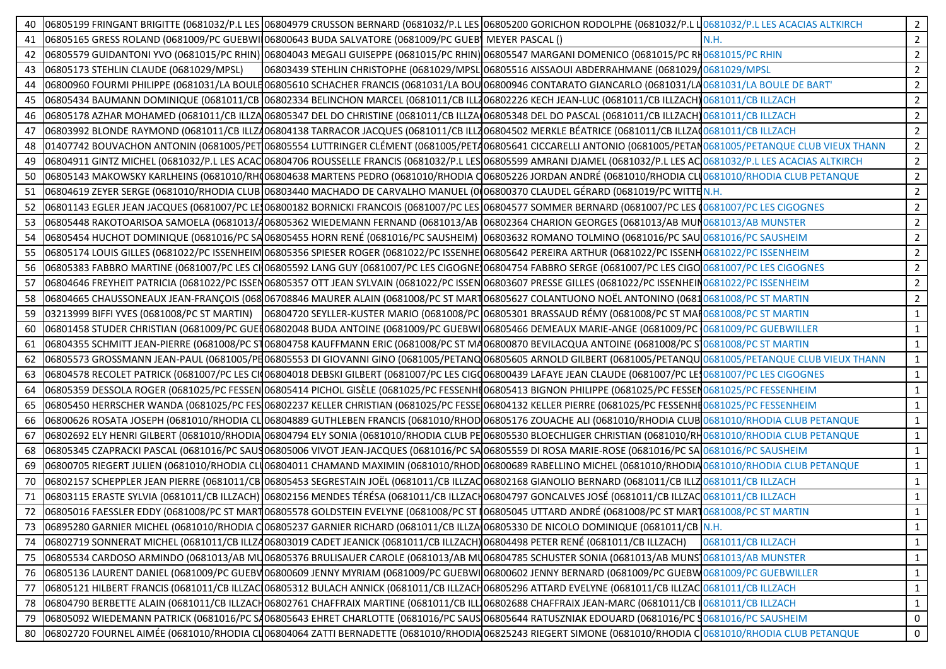| 40 | 06805199 FRINGANT BRIGITTE (0681032/P.L LES 06804979 CRUSSON BERNARD (0681032/P.L LES 06805200 GORICHON RODOLPHE (0681032/P.L LO681032/P.L LES ACACIAS ALTKIRCH             |                    | $\overline{2}$ |
|----|-----------------------------------------------------------------------------------------------------------------------------------------------------------------------------|--------------------|----------------|
| 41 | 06805165 GRESS ROLAND (0681009/PC GUEBWI 06800643 BUDA SALVATORE (0681009/PC GUEB) MEYER PASCAL ()                                                                          | N.H.               | $2^{\circ}$    |
|    | 42   06805579 GUIDANTONI YVO (0681015/PC RHIN)   06804043 MEGALI GUISEPPE (0681015/PC RHIN)   06805547 MARGANI DOMENICO (0681015/PC RH0681015/PC RHIN                       |                    | $\overline{2}$ |
|    | 06803439 STEHLIN CHRISTOPHE (0681029/MPSL106805516 AISSAOUI ABDERRAHMANE (0681029/0681029/MPSL<br>43 06805173 STEHLIN CLAUDE (0681029/MPSL)                                 |                    | $\overline{2}$ |
| 44 | 06800960 FOURMI PHILIPPE (0681031/LA BOULE 06805610 SCHACHER FRANCIS (0681031/LA BOU 06800946 CONTARATO GIANCARLO (0681031/LA 0681031/LA BOULE DE BART'                     |                    | $\overline{2}$ |
| 45 | 06805434 BAUMANN DOMINIQUE (0681011/CB 06802334 BELINCHON MARCEL (0681011/CB ILL706802226 KECH JEAN-LUC (0681011/CB ILLZACH) 0681011/CB ILLZACH                             |                    | $2^{\circ}$    |
| 46 | 06805178 AZHAR MOHAMED (0681011/CB ILLZA 06805347 DEL DO CHRISTINE (0681011/CB ILLZA 06805348 DEL DO PASCAL (0681011/CB ILLZACH) 0681011/CB ILLZACH                         |                    | $\overline{2}$ |
| 47 | 06803992 BLONDE RAYMOND (0681011/CB ILLZ406804138 TARRACOR JACQUES (0681011/CB ILLZ06804502 MERKLE BÉATRICE (0681011/CB ILLZA0681011/CB ILLZACH                             |                    | $2^{\circ}$    |
| 48 | 01407742 BOUVACHON ANTONIN (0681005/PET 06805554 LUTTRINGER CLÉMENT (0681005/PETA06805641 CICCARELLI ANTONIO (0681005/PETAN 0681005/PETAN QUE CLUB VIEUX THANN              |                    | $\overline{2}$ |
| 49 | 06804911 GINTZ MICHEL (0681032/P.L LES ACAC 06804706 ROUSSELLE FRANCIS (0681032/P.L LES 06805599 AMRANI DJAMEL (0681032/P.L LES AC 0681032/P.L LES ACACIAS ALTKIRCH         |                    | $2^{\circ}$    |
|    | 50 06805143 MAKOWSKY KARLHEINS (0681010/RHO6804638 MARTENS PEDRO (0681010/RHODIA CO6805226 JORDAN ANDRÉ (0681010/RHODIA CLUO681010/RHODIA CLUB PETANQUE                     |                    | $\overline{2}$ |
| 51 | 06804619 ZEYER SERGE (0681010/RHODIA CLUB 06803440 MACHADO DE CARVALHO MANUEL (006800370 CLAUDEL GÉRARD (0681019/PC WITTEN.H.                                               |                    | $\overline{2}$ |
| 52 | 06801143 EGLER JEAN JACQUES (0681007/PC LE106800182 BORNICKI FRANCOIS (0681007/PC LES 06804577 SOMMER BERNARD (0681007/PC LES 0681007/PC LES CIGOGNES                       |                    | $\overline{2}$ |
| 53 | 06805448 RAKOTOARISOA SAMOELA (0681013/406805362 WIEDEMANN FERNAND (0681013/AB 06802364 CHARION GEORGES (0681013/AB MUN0681013/AB MUNTER                                    |                    | $2^{\circ}$    |
|    | 54 06805454 HUCHOT DOMINIQUE (0681016/PC SA06805455 HORN RENÉ (0681016/PC SAUSHEIM) 06803632 ROMANO TOLMINO (0681016/PC SAU 0681016/PC SAUSHEIM                             |                    | 2              |
| 55 | 06805174 LOUIS GILLES (0681022/PC ISSENHEIM 06805356 SPIESER ROGER (0681022/PC ISSENHE 06805642 PEREIRA ARTHUR (0681022/PC ISSENH0681022/PC ISSENH0681022/PC ISSENHEIM      |                    | $\overline{2}$ |
| 56 | 06805383 FABBRO MARTINE (0681007/PC LES CI 06805592 LANG GUY (0681007/PC LES CIGOGNE106804754 FABBRO SERGE (0681007/PC LES CIGO 0681007/PC LES CIGO 0681007/PC LES CIGOGNES |                    | $\overline{2}$ |
|    | 57 06804646 FREYHEIT PATRICIA (0681022/PC ISSEN06805357 OTT JEAN SYLVAIN (0681022/PC ISSEN06803607 PRESSE GILLES (0681022/PC ISSENHEIN0681022/PC ISSENHEIN                  |                    | $\overline{2}$ |
|    | 58 06804665 CHAUSSONEAUX JEAN-FRANÇOIS (06806708846 MAURER ALAIN (0681008/PC ST MART06805627 COLANTUONO NOËL ANTONINO (06810681008/PC ST MARTIN                             |                    | $\overline{2}$ |
| 59 | 03213999 BIFFI YVES (0681008/PC ST MARTIN) 06804720 SEYLLER-KUSTER MARIO (0681008/PC 06805301 BRASSAUD RÉMY (0681008/PC ST MAIO681008/PC ST MARTIN                          |                    | $\mathbf{1}$   |
| 60 | 06801458 STUDER CHRISTIAN (0681009/PC GUEH06802048 BUDA ANTOINE (0681009/PC GUEBWI 06805466 DEMEAUX MARIE-ANGE (0681009/PC 0681009/PC GUEBWILLER                            |                    | $\mathbf{1}$   |
| 61 | 06804355 SCHMITT JEAN-PIERRE (0681008/PC ST06804758 KAUFFMANN ERIC (0681008/PC ST MA06800870 BEVILACQUA ANTOINE (0681008/PC ST0681008/PC ST MARTIN                          |                    | $\mathbf{1}$   |
|    | 62 06805573 GROSSMANN JEAN-PAUL (0681005/PE06805553 DI GIOVANNI GINO (0681005/PETANQ 06805605 ARNOLD GILBERT (0681005/PETANQU 0681005/PETANQUE CLUB VIEUX THANN             |                    | $\mathbf{1}$   |
| 63 | 06804578 RECOLET PATRICK (0681007/PC LES CIO6804018 DEBSKI GILBERT (0681007/PC LES CIGO06800439 LAFAYE JEAN CLAUDE (0681007/PC LES 0681007/PC LES CIGOGNES                  |                    | $\mathbf{1}$   |
| 64 | 06805359 DESSOLA ROGER (0681025/PC FESSEN 06805414 PICHOL GISÈLE (0681025/PC FESSENHE06805413 BIGNON PHILIPPE (0681025/PC FESSEN 0681025/PC FESSEN 0681025/PC FESSEN HEIM   |                    | $\mathbf{1}$   |
| 65 | 06805450 HERRSCHER WANDA (0681025/PC FES 06802237 KELLER CHRISTIAN (0681025/PC FESSE 06804132 KELLER PIERRE (0681025/PC FESSENHE 0681025/PC FESSENHE 0681025/PC FESSENHE    |                    | $\mathbf{1}$   |
| 66 | 06800626 ROSATA JOSEPH (0681010/RHODIA CL 06804889 GUTHLEBEN FRANCIS (0681010/RHOD 06805176 ZOUACHE ALI (0681010/RHODIA CLUB 0681010/RHODIA CLUB PETANQUE                   |                    | $\mathbf{1}$   |
| 67 | 06802692 ELY HENRI GILBERT (0681010/RHODIA 06804794 ELY SONIA (0681010/RHODIA CLUB PE 06805530 BLOECHLIGER CHRISTIAN (0681010/RHO681010/RHODIA CLUB PETANQUE                |                    | $\mathbf{1}$   |
| 68 | 06805345 CZAPRACKI PASCAL (0681016/PC SAUSO6805006 VIVOT JEAN-JACQUES (0681016/PC SA 06805559 DI ROSA MARIE-ROSE (0681016/PC SA 0681016/PC SAUSHEIM                         |                    | $\mathbf{1}$   |
| 69 | 06800705 RIEGERT JULIEN (0681010/RHODIA CLU06804011 CHAMAND MAXIMIN (0681010/RHOD 06800689 RABELLINO MICHEL (0681010/RHODIA 0681010/RHODIA CLUB PETANQUE                    |                    | $\mathbf{1}$   |
| 70 | 06802157 SCHEPPLER JEAN PIERRE (0681011/CB 06805453 SEGRESTAIN JOËL (0681011/CB ILLZAC 06802168 GIANOLIO BERNARD (0681011/CB ILLZ 0681011/CB ILLZ 0681011/CB ILLZACH        |                    | $\mathbf{1}$   |
| 71 | 06803115 ERASTE SYLVIA (0681011/CB ILLZACH) 06802156 MENDES TÉRÉSA (0681011/CB ILLZACH06804797 GONCALVES JOSÉ (0681011/CB ILLZAC 0681011/CB ILLZACH                         |                    | $\mathbf{1}$   |
|    | 72 06805016 FAESSLER EDDY (0681008/PC ST MART06805578 GOLDSTEIN EVELYNE (0681008/PC ST 106805045 UTTARD ANDRÉ (0681008/PC ST MART0681008/PC ST MARTU                        |                    | $\mathbf{1}$   |
|    | 73 06895280 GARNIER MICHEL (0681010/RHODIA C 06805237 GARNIER RICHARD (0681011/CB ILLZA 06805330 DE NICOLO DOMINIQUE (0681011/CB N.H.                                       |                    | $\mathbf{1}$   |
| 74 | 06802719 SONNERAT MICHEL (0681011/CB ILLZ406803019 CADET JEANICK (0681011/CB ILLZACH) 06804498 PETER RENÉ (0681011/CB ILLZACH)                                              | 0681011/CB ILLZACH | $\mathbf{1}$   |
| 75 | 06805534 CARDOSO ARMINDO (0681013/AB MU06805376 BRULISAUER CAROLE (0681013/AB MU06804785 SCHUSTER SONIA (0681013/AB MUNS10681013/AB MUNS10681013/AB                         |                    | $\mathbf{1}$   |
| 76 | 06805136 LAURENT DANIEL (0681009/PC GUEBV)06800609 JENNY MYRIAM (0681009/PC GUEBWI 06800602 JENNY BERNARD (0681009/PC GUEBW 0681009/PC GUEBW 0681009/PC GUEBWILLER          |                    | $\mathbf{1}$   |
| 77 | 06805121 HILBERT FRANCIS (0681011/CB ILLZAC 06805312 BULACH ANNICK (0681011/CB ILLZACH06805296 ATTARD EVELYNE (0681011/CB ILLZAC 0681011/CB ILLZACH                         |                    | $\mathbf{1}$   |
| 78 | 06804790 BERBETTE ALAIN (0681011/CB ILLZACH06802761 CHAFFRAIX MARTINE (0681011/CB ILL106802688 CHAFFRAIX JEAN-MARC (0681011/CB I0681011/CB ILLZACH                          |                    | $\mathbf{1}$   |
| 79 | 06805092 WIEDEMANN PATRICK (0681016/PC SA06805643 EHRET CHARLOTTE (0681016/PC SAUS 06805644 RATUSZNIAK EDOUARD (0681016/PC 90681016/PC SAUSHEIM                             |                    | 0              |
| 80 | 06802720 FOURNEL AIMÉE (0681010/RHODIA CLO6804064 ZATTI BERNADETTE (0681010/RHODIA 06825243 RIEGERT SIMONE (0681010/RHODIA C 0681010/RHODIA CLUB PETANQUE                   |                    | $\mathbf 0$    |